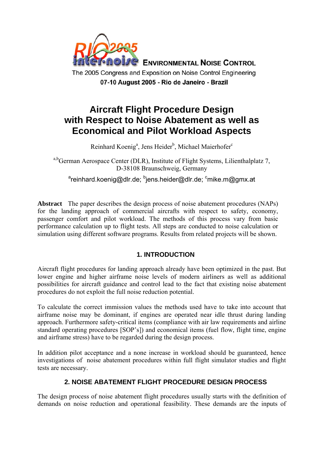

**FORDULE ENVIRONMENTAL NOISE CONTROL** 

The 2005 Congress and Exposition on Noise Control Engineering 07-10 August 2005 - Rio de Janeiro - Brazil

# **Aircraft Flight Procedure Design with Respect to Noise Abatement as well as Economical and Pilot Workload Aspects**

Reinhard Koenig<sup>a</sup>, Jens Heider<sup>b</sup>, Michael Maierhofer<sup>c</sup>

a,b<sub>German</sub> Aerospace Center (DLR), Institute of Flight Systems, Lilienthalplatz 7, D-38108 Braunschweig, Germany

<sup>a</sup>reinhard.koenig@dlr.de; <sup>b</sup>jens.heider@dlr.de; <sup>c</sup>mike.m@gmx.at

**Abstract** The paper describes the design process of noise abatement procedures (NAPs) for the landing approach of commercial aircrafts with respect to safety, economy, passenger comfort and pilot workload. The methods of this process vary from basic performance calculation up to flight tests. All steps are conducted to noise calculation or simulation using different software programs. Results from related projects will be shown.

# **1. INTRODUCTION**

Aircraft flight procedures for landing approach already have been optimized in the past. But lower engine and higher airframe noise levels of modern airliners as well as additional possibilities for aircraft guidance and control lead to the fact that existing noise abatement procedures do not exploit the full noise reduction potential.

To calculate the correct immission values the methods used have to take into account that airframe noise may be dominant, if engines are operated near idle thrust during landing approach. Furthermore safety-critical items (compliance with air law requirements and airline standard operating procedures [SOP's]) and economical items (fuel flow, flight time, engine and airframe stress) have to be regarded during the design process.

In addition pilot acceptance and a none increase in workload should be guaranteed, hence investigations of noise abatement procedures within full flight simulator studies and flight tests are necessary.

# **2. NOISE ABATEMENT FLIGHT PROCEDURE DESIGN PROCESS**

The design process of noise abatement flight procedures usually starts with the definition of demands on noise reduction and operational feasibility. These demands are the inputs of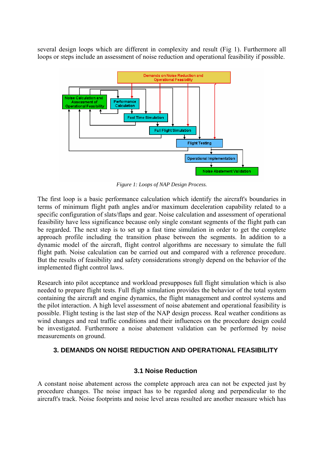several design loops which are different in complexity and result (Fig 1). Furthermore all loops or steps include an assessment of noise reduction and operational feasibility if possible.



*Figure 1: Loops of NAP Design Process.* 

The first loop is a basic performance calculation which identify the aircraft's boundaries in terms of minimum flight path angles and/or maximum deceleration capability related to a specific configuration of slats/flaps and gear. Noise calculation and assessment of operational feasibility have less significance because only single constant segments of the flight path can be regarded. The next step is to set up a fast time simulation in order to get the complete approach profile including the transition phase between the segments. In addition to a dynamic model of the aircraft, flight control algorithms are necessary to simulate the full flight path. Noise calculation can be carried out and compared with a reference procedure. But the results of feasibility and safety considerations strongly depend on the behavior of the implemented flight control laws.

Research into pilot acceptance and workload presupposes full flight simulation which is also needed to prepare flight tests. Full flight simulation provides the behavior of the total system containing the aircraft and engine dynamics, the flight management and control systems and the pilot interaction. A high level assessment of noise abatement and operational feasibility is possible. Flight testing is the last step of the NAP design process. Real weather conditions as wind changes and real traffic conditions and their influences on the procedure design could be investigated. Furthermore a noise abatement validation can be performed by noise measurements on ground.

## **3. DEMANDS ON NOISE REDUCTION AND OPERATIONAL FEASIBILITY**

## **3.1 Noise Reduction**

A constant noise abatement across the complete approach area can not be expected just by procedure changes. The noise impact has to be regarded along and perpendicular to the aircraft's track. Noise footprints and noise level areas resulted are another measure which has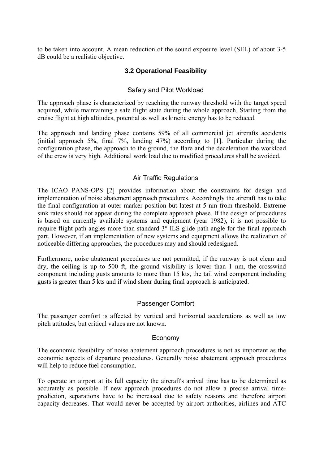to be taken into account. A mean reduction of the sound exposure level (SEL) of about 3-5 dB could be a realistic objective.

# **3.2 Operational Feasibility**

## Safety and Pilot Workload

The approach phase is characterized by reaching the runway threshold with the target speed acquired, while maintaining a safe flight state during the whole approach. Starting from the cruise flight at high altitudes, potential as well as kinetic energy has to be reduced.

The approach and landing phase contains 59% of all commercial jet aircrafts accidents (initial approach 5%, final 7%, landing 47%) according to [1]. Particular during the configuration phase, the approach to the ground, the flare and the deceleration the workload of the crew is very high. Additional work load due to modified procedures shall be avoided.

# Air Traffic Regulations

The ICAO PANS-OPS [2] provides information about the constraints for design and implementation of noise abatement approach procedures. Accordingly the aircraft has to take the final configuration at outer marker position but latest at 5 nm from threshold. Extreme sink rates should not appear during the complete approach phase. If the design of procedures is based on currently available systems and equipment (year 1982), it is not possible to require flight path angles more than standard 3° ILS glide path angle for the final approach part. However, if an implementation of new systems and equipment allows the realization of noticeable differing approaches, the procedures may and should redesigned.

Furthermore, noise abatement procedures are not permitted, if the runway is not clean and dry, the ceiling is up to 500 ft, the ground visibility is lower than 1 nm, the crosswind component including gusts amounts to more than 15 kts, the tail wind component including gusts is greater than 5 kts and if wind shear during final approach is anticipated.

## Passenger Comfort

The passenger comfort is affected by vertical and horizontal accelerations as well as low pitch attitudes, but critical values are not known.

## Economy

The economic feasibility of noise abatement approach procedures is not as important as the economic aspects of departure procedures. Generally noise abatement approach procedures will help to reduce fuel consumption.

To operate an airport at its full capacity the aircraft's arrival time has to be determined as accurately as possible. If new approach procedures do not allow a precise arrival timeprediction, separations have to be increased due to safety reasons and therefore airport capacity decreases. That would never be accepted by airport authorities, airlines and ATC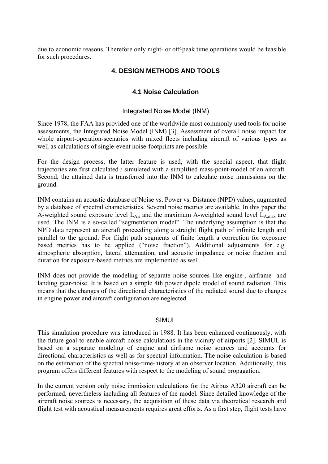due to economic reasons. Therefore only night- or off-peak time operations would be feasible for such procedures.

# **4. DESIGN METHODS AND TOOLS**

# **4.1 Noise Calculation**

# Integrated Noise Model (INM)

Since 1978, the FAA has provided one of the worldwide most commonly used tools for noise assessments, the Integrated Noise Model (INM) [3]. Assessment of overall noise impact for whole airport-operation-scenarios with mixed fleets including aircraft of various types as well as calculations of single-event noise-footprints are possible.

For the design process, the latter feature is used, with the special aspect, that flight trajectories are first calculated / simulated with a simplified mass-point-model of an aircraft. Second, the attained data is transferred into the INM to calculate noise immissions on the ground.

INM contains an acoustic database of Noise vs. Power vs. Distance (NPD) values, augmented by a database of spectral characteristics. Several noise metrics are available. In this paper the A-weighted sound exposure level  $L_{AE}$  and the maximum A-weighted sound level  $L_{A max}$  are used. The INM is a so-called "segmentation model". The underlying assumption is that the NPD data represent an aircraft proceeding along a straight flight path of infinite length and parallel to the ground. For flight path segments of finite length a correction for exposure based metrics has to be applied ("noise fraction"). Additional adjustments for e.g. atmospheric absorption, lateral attenuation, and acoustic impedance or noise fraction and duration for exposure-based metrics are implemented as well.

INM does not provide the modeling of separate noise sources like engine-, airframe- and landing gear-noise. It is based on a simple 4th power dipole model of sound radiation. This means that the changes of the directional characteristics of the radiated sound due to changes in engine power and aircraft configuration are neglected.

## **SIMUL**

This simulation procedure was introduced in 1988. It has been enhanced continuously, with the future goal to enable aircraft noise calculations in the vicinity of airports [2]. SIMUL is based on a separate modeling of engine and airframe noise sources and accounts for directional characteristics as well as for spectral information. The noise calculation is based on the estimation of the spectral noise-time-history at an observer location. Additionally, this program offers different features with respect to the modeling of sound propagation.

In the current version only noise immission calculations for the Airbus A320 aircraft can be performed, nevertheless including all features of the model. Since detailed knowledge of the aircraft noise sources is necessary, the acquisition of these data via theoretical research and flight test with acoustical measurements requires great efforts. As a first step, flight tests have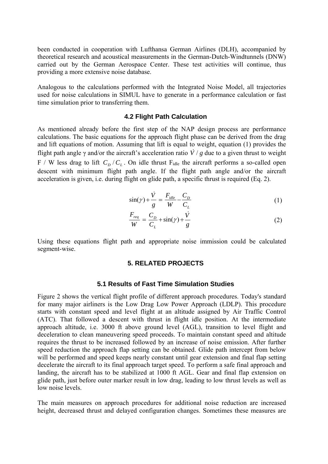been conducted in cooperation with Lufthansa German Airlines (DLH), accompanied by theoretical research and acoustical measurements in the German-Dutch-Windtunnels (DNW) carried out by the German Aerospace Center. These test activities will continue, thus providing a more extensive noise database.

Analogous to the calculations performed with the Integrated Noise Model, all trajectories used for noise calculations in SIMUL have to generate in a performance calculation or fast time simulation prior to transferring them.

## **4.2 Flight Path Calculation**

As mentioned already before the first step of the NAP design process are performance calculations. The basic equations for the approach flight phase can be derived from the drag and lift equations of motion. Assuming that lift is equal to weight, equation (1) provides the flight path angle  $\gamma$  and/or the aircraft's acceleration ratio  $\dot{V}$  / *g* due to a given thrust to weight F / W less drag to lift  $C_p / C_L$ . On idle thrust F<sub>idle</sub> the aircraft performs a so-called open descent with minimum flight path angle. If the flight path angle and/or the aircraft acceleration is given, i.e. during flight on glide path, a specific thrust is required (Eq. 2).

$$
\sin(\gamma) + \frac{\dot{V}}{g} = \frac{F_{idle}}{W} - \frac{C_D}{C_L}
$$
 (1)

$$
\frac{F_{req}}{W} = \frac{C_D}{C_L} + \sin(\gamma) + \frac{\dot{V}}{g}
$$
 (2)

Using these equations flight path and appropriate noise immission could be calculated segment-wise.

# **5. RELATED PROJECTS**

#### **5.1 Results of Fast Time Simulation Studies**

Figure 2 shows the vertical flight profile of different approach procedures. Today's standard for many major airliners is the Low Drag Low Power Approach (LDLP). This procedure starts with constant speed and level flight at an altitude assigned by Air Traffic Control (ATC). That followed a descent with thrust in flight idle position. At the intermediate approach altitude, i.e. 3000 ft above ground level (AGL), transition to level flight and deceleration to clean maneuvering speed proceeds. To maintain constant speed and altitude requires the thrust to be increased followed by an increase of noise emission. After further speed reduction the approach flap setting can be obtained. Glide path intercept from below will be performed and speed keeps nearly constant until gear extension and final flap setting decelerate the aircraft to its final approach target speed. To perform a safe final approach and landing, the aircraft has to be stabilized at 1000 ft AGL. Gear and final flap extension on glide path, just before outer marker result in low drag, leading to low thrust levels as well as low noise levels.

The main measures on approach procedures for additional noise reduction are increased height, decreased thrust and delayed configuration changes. Sometimes these measures are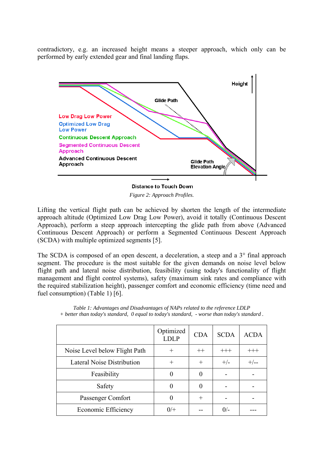contradictory, e.g. an increased height means a steeper approach, which only can be performed by early extended gear and final landing flaps.



**Distance to Touch Down** 

*Figure 2: Approach Profiles.* 

Lifting the vertical flight path can be achieved by shorten the length of the intermediate approach altitude (Optimized Low Drag Low Power), avoid it totally (Continuous Descent Approach), perform a steep approach intercepting the glide path from above (Advanced Continuous Descent Approach) or perform a Segmented Continuous Descent Approach (SCDA) with multiple optimized segments [5].

The SCDA is composed of an open descent, a deceleration, a steep and a 3<sup>°</sup> final approach segment. The procedure is the most suitable for the given demands on noise level below flight path and lateral noise distribution, feasibility (using today's functionality of flight management and flight control systems), safety (maximum sink rates and compliance with the required stabilization height), passenger comfort and economic efficiency (time need and fuel consumption) (Table 1) [6].

|                               | Optimized<br><b>LDLP</b> | <b>CDA</b> | <b>SCDA</b> | <b>ACDA</b> |
|-------------------------------|--------------------------|------------|-------------|-------------|
| Noise Level below Flight Path | $\pm$                    | $++$       | $+++$       | $^{+++}$    |
| Lateral Noise Distribution    | $\div$                   | $+$        | $+/-$       | $+/--$      |
| Feasibility                   | $\Omega$                 |            |             |             |
| Safety                        |                          |            |             |             |
| Passenger Comfort             |                          |            |             |             |
| Economic Efficiency           | $0/+$                    |            | $0/-$       |             |

*Table 1: Advantages and Disadvantages of NAPs related to the reference LDLP + better than today's standard, 0 equal to today's standard, - worse than today's standard .*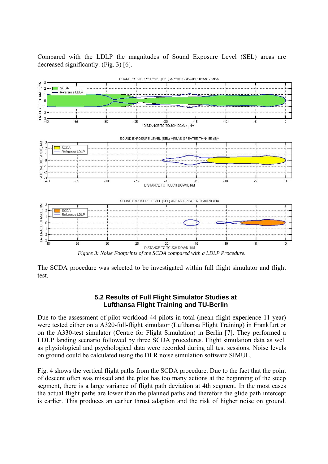Compared with the LDLP the magnitudes of Sound Exposure Level (SEL) areas are decreased significantly. (Fig. 3) [6].



*Figure 3: Noise Footprints of the SCDA compared with a LDLP Procedure.* 

The SCDA procedure was selected to be investigated within full flight simulator and flight test.

# **5.2 Results of Full Flight Simulator Studies at Lufthansa Flight Training and TU-Berlin**

Due to the assessment of pilot workload 44 pilots in total (mean flight experience 11 year) were tested either on a A320-full-flight simulator (Lufthansa Flight Training) in Frankfurt or on the A330-test simulator (Centre for Flight Simulation) in Berlin [7]. They performed a LDLP landing scenario followed by three SCDA procedures. Flight simulation data as well as physiological and psychological data were recorded during all test sessions. Noise levels on ground could be calculated using the DLR noise simulation software SIMUL.

Fig. 4 shows the vertical flight paths from the SCDA procedure. Due to the fact that the point of descent often was missed and the pilot has too many actions at the beginning of the steep segment, there is a large variance of flight path deviation at 4th segment. In the most cases the actual flight paths are lower than the planned paths and therefore the glide path intercept is earlier. This produces an earlier thrust adaption and the risk of higher noise on ground.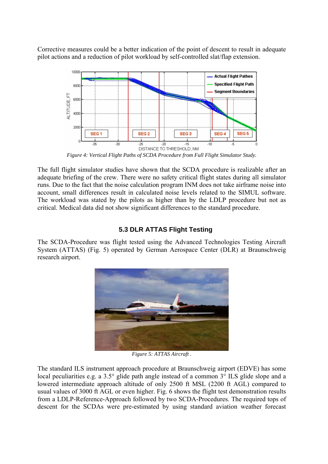Corrective measures could be a better indication of the point of descent to result in adequate pilot actions and a reduction of pilot workload by self-controlled slat/flap extension.



*Figure 4: Vertical Flight Paths of SCDA Procedure from Full Flight Simulator Study.* 

The full flight simulator studies have shown that the SCDA procedure is realizable after an adequate briefing of the crew. There were no safety critical flight states during all simulator runs. Due to the fact that the noise calculation program INM does not take airframe noise into account, small differences result in calculated noise levels related to the SIMUL software. The workload was stated by the pilots as higher than by the LDLP procedure but not as critical. Medical data did not show significant differences to the standard procedure.

# **5.3 DLR ATTAS Flight Testing**

The SCDA-Procedure was flight tested using the Advanced Technologies Testing Aircraft System (ATTAS) (Fig. 5) operated by German Aerospace Center (DLR) at Braunschweig research airport.



*Figure 5: ATTAS Aircraft .* 

The standard ILS instrument approach procedure at Braunschweig airport (EDVE) has some local peculiarities e.g. a 3.5° glide path angle instead of a common 3° ILS glide slope and a lowered intermediate approach altitude of only 2500 ft MSL (2200 ft AGL) compared to usual values of 3000 ft AGL or even higher. Fig. 6 shows the flight test demonstration results from a LDLP-Reference-Approach followed by two SCDA-Procedures. The required tops of descent for the SCDAs were pre-estimated by using standard aviation weather forecast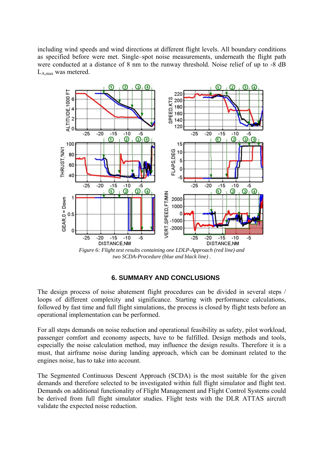including wind speeds and wind directions at different flight levels. All boundary conditions as specified before were met. Single–spot noise measurements, underneath the flight path were conducted at a distance of 8 nm to the runway threshold. Noise relief of up to -8 dB LA,max was metered.



*Figure 6: Flight test results containing one LDLP-Approach (red line) and two SCDA-Procedure (blue and black line) .* 

# **6. SUMMARY AND CONCLUSIONS**

The design process of noise abatement flight procedures can be divided in several steps / loops of different complexity and significance. Starting with performance calculations, followed by fast time and full flight simulations, the process is closed by flight tests before an operational implementation can be performed.

For all steps demands on noise reduction and operational feasibility as safety, pilot workload, passenger comfort and economy aspects, have to be fulfilled. Design methods and tools, especially the noise calculation method, may influence the design results. Therefore it is a must, that airframe noise during landing approach, which can be dominant related to the engines noise, has to take into account.

The Segmented Continuous Descent Approach (SCDA) is the most suitable for the given demands and therefore selected to be investigated within full flight simulator and flight test. Demands on additional functionality of Flight Management and Flight Control Systems could be derived from full flight simulator studies. Flight tests with the DLR ATTAS aircraft validate the expected noise reduction.